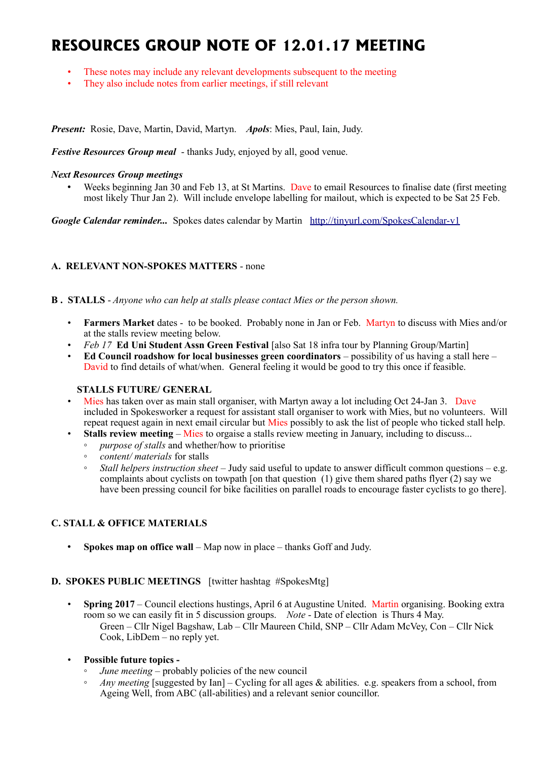# **RESOURCES GROUP NOTE OF 12.01.17 MEETING**

- These notes may include any relevant developments subsequent to the meeting
- They also include notes from earlier meetings, if still relevant

*Present:* Rosie, Dave, Martin, David, Martyn. *Apols*: Mies, Paul, Iain, Judy.

*Festive Resources Group meal* - thanks Judy, enjoyed by all, good venue.

#### *Next Resources Group meetings*

• Weeks beginning Jan 30 and Feb 13, at St Martins. Dave to email Resources to finalise date (first meeting most likely Thur Jan 2). Will include envelope labelling for mailout, which is expected to be Sat 25 Feb.

*Google Calendar reminder...* Spokes dates calendar by Martin <http://tinyurl.com/SpokesCalendar-v1>

# **A. RELEVANT NON-SPOKES MATTERS** - none

#### **B . STALLS** - *Anyone who can help at stalls please contact Mies or the person shown.*

- **Farmers Market** dates to be booked. Probably none in Jan or Feb. Martyn to discuss with Mies and/or at the stalls review meeting below.
- *Feb 17* **Ed Uni Student Assn Green Festival** [also Sat 18 infra tour by Planning Group/Martin]
- **Ed Council roadshow for local businesses green coordinators** possibility of us having a stall here David to find details of what/when. General feeling it would be good to try this once if feasible.

# **STALLS FUTURE/ GENERAL**

- Mies has taken over as main stall organiser, with Martyn away a lot including Oct 24-Jan 3. Dave included in Spokesworker a request for assistant stall organiser to work with Mies, but no volunteers. Will repeat request again in next email circular but Mies possibly to ask the list of people who ticked stall help.
- **Stalls review meeting** Mies to orgaise a stalls review meeting in January, including to discuss...
	- *purpose of stalls* and whether/how to prioritise
	- *content/ materials* for stalls
	- *Stall helpers instruction sheet*  Judy said useful to update to answer difficult common questions e.g. complaints about cyclists on towpath [on that question (1) give them shared paths flyer  $(2)$  say we have been pressing council for bike facilities on parallel roads to encourage faster cyclists to go there].

# **C. STALL & OFFICE MATERIALS**

• **Spokes map on office wall** – Map now in place – thanks Goff and Judy.

# **D. SPOKES PUBLIC MEETINGS** [twitter hashtag #SpokesMtg]

- **Spring 2017** Council elections hustings, April 6 at Augustine United. Martin organising. Booking extra room so we can easily fit in 5 discussion groups. *Note* - Date of election is Thurs 4 May. Green – Cllr Nigel Bagshaw, Lab – Cllr Maureen Child, SNP – Cllr Adam McVey, Con – Cllr Nick Cook, LibDem – no reply yet.
- **Possible future topics -**
	- *June meeting* probably policies of the new council
	- *Any meeting* [suggested by Ian] Cycling for all ages & abilities. e.g. speakers from a school, from Ageing Well, from ABC (all-abilities) and a relevant senior councillor.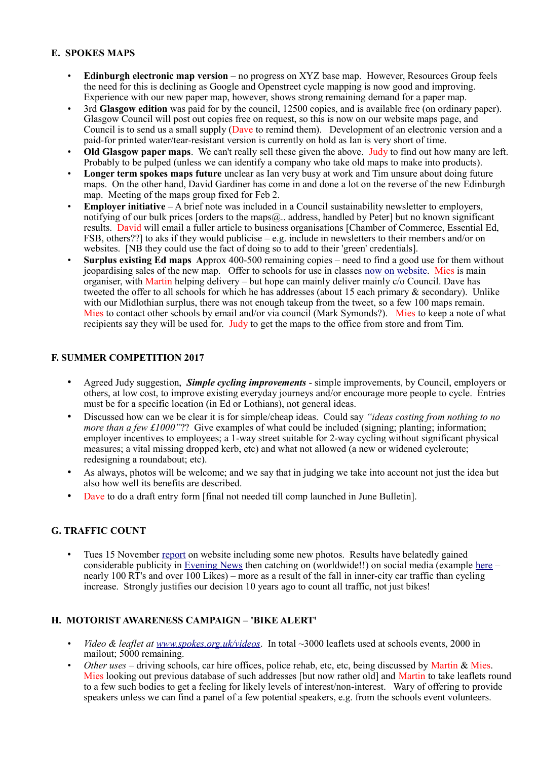### **E. SPOKES MAPS**

- **Edinburgh electronic map version** no progress on XYZ base map. However, Resources Group feels the need for this is declining as Google and Openstreet cycle mapping is now good and improving. Experience with our new paper map, however, shows strong remaining demand for a paper map.
- 3rd **Glasgow edition** was paid for by the council, 12500 copies, and is available free (on ordinary paper). Glasgow Council will post out copies free on request, so this is now on our website maps page, and Council is to send us a small supply (Dave to remind them). Development of an electronic version and a paid-for printed water/tear-resistant version is currently on hold as Ian is very short of time.
- **Old Glasgow paper maps**. We can't really sell these given the above. Judy to find out how many are left. Probably to be pulped (unless we can identify a company who take old maps to make into products).
- **Longer term spokes maps future** unclear as Ian very busy at work and Tim unsure about doing future maps. On the other hand, David Gardiner has come in and done a lot on the reverse of the new Edinburgh map. Meeting of the maps group fixed for Feb 2.
- **Employer initiative** A brief note was included in a Council sustainability newsletter to employers, notifying of our bulk prices [orders to the maps $@..$  address, handled by Peter] but no known significant results. David will email a fuller article to business organisations [Chamber of Commerce, Essential Ed, FSB, others??] to aks if they would publicise – e.g. include in newsletters to their members and/or on websites. [NB they could use the fact of doing so to add to their 'green' credentials].
- **Surplus existing Ed maps** Approx 400-500 remaining copies need to find a good use for them without jeopardising sales of the new map. Offer to schools for use in classes [now on website.](http://www.spokes.org.uk/spokes-maps/9th-edition-edinburgh-maps-schools-offer/) Mies is main organiser, with Martin helping delivery – but hope can mainly deliver mainly c/o Council. Dave has tweeted the offer to all schools for which he has addresses (about 15 each primary & secondary). Unlike with our Midlothian surplus, there was not enough takeup from the tweet, so a few 100 maps remain. Mies to contact other schools by email and/or via council (Mark Symonds?). Mies to keep a note of what recipients say they will be used for. Judy to get the maps to the office from store and from Tim.

# **F. SUMMER COMPETITION 2017**

- Agreed Judy suggestion, *Simple cycling improvements* simple improvements, by Council, employers or others, at low cost, to improve existing everyday journeys and/or encourage more people to cycle. Entries must be for a specific location (in Ed or Lothians), not general ideas.
- Discussed how can we be clear it is for simple/cheap ideas. Could say *"ideas costing from nothing to no more than a few £1000"*?? Give examples of what could be included (signing; planting; information; employer incentives to employees; a 1-way street suitable for 2-way cycling without significant physical measures; a vital missing dropped kerb, etc) and what not allowed (a new or widened cycleroute; redesigning a roundabout; etc).
- As always, photos will be welcome; and we say that in judging we take into account not just the idea but also how well its benefits are described.
- Dave to do a draft entry form [final not needed till comp launched in June Bulletin].

# **G. TRAFFIC COUNT**

• Tues 15 November [report](http://www.spokes.org.uk/2016/11/traffic-count-highest-ever-november-bike/) on website including some new photos. Results have belatedly gained considerable publicity in [Evening News](http://www.edinburghnews.scotsman.com/news/transport/huge-drop-in-cars-using-edinburgh-city-centre-1-4330045) then catching on (worldwide!!) on social media (example [here](https://twitter.com/DarrenDavis10/status/816356450779873280) – nearly 100 RT's and over 100 Likes) – more as a result of the fall in inner-city car traffic than cycling increase. Strongly justifies our decision 10 years ago to count all traffic, not just bikes!

# **H. MOTORIST AWARENESS CAMPAIGN – 'BIKE ALERT'**

- *Video & leaflet at [www.spokes.org.uk/videos](http://www.spokes.org.uk/videos)*. In total ~3000 leaflets used at schools events, 2000 in mailout; 5000 remaining.
- *Other uses* driving schools, car hire offices, police rehab, etc, etc, being discussed by Martin & Mies. Mies looking out previous database of such addresses [but now rather old] and Martin to take leaflets round to a few such bodies to get a feeling for likely levels of interest/non-interest. Wary of offering to provide speakers unless we can find a panel of a few potential speakers, e.g. from the schools event volunteers.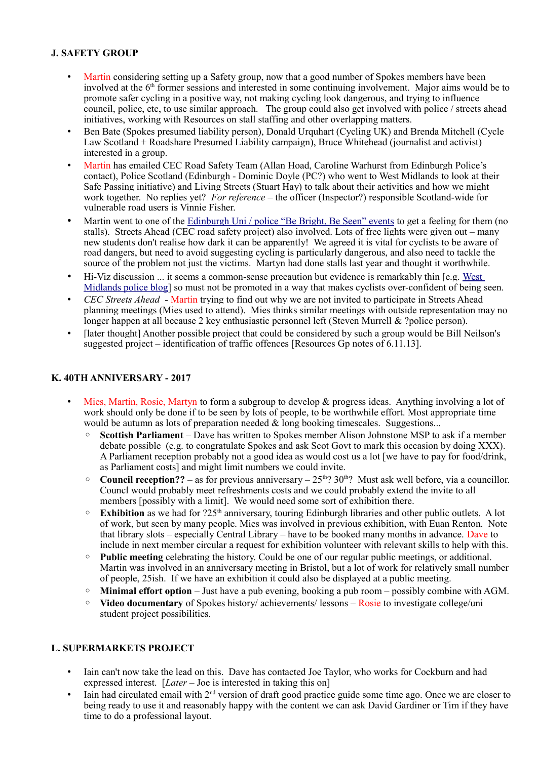# **J. SAFETY GROUP**

- Martin considering setting up a Safety group, now that a good number of Spokes members have been involved at the  $6<sup>th</sup>$  former sessions and interested in some continuing involvement. Major aims would be to promote safer cycling in a positive way, not making cycling look dangerous, and trying to influence council, police, etc, to use similar approach. The group could also get involved with police / streets ahead initiatives, working with Resources on stall staffing and other overlapping matters.
- Ben Bate (Spokes presumed liability person), Donald Urquhart (Cycling UK) and Brenda Mitchell (Cycle Law Scotland + Roadshare Presumed Liability campaign), Bruce Whitehead (journalist and activist) interested in a group.
- Martin has emailed CEC Road Safety Team (Allan Hoad, Caroline Warhurst from Edinburgh Police's contact), Police Scotland (Edinburgh - Dominic Doyle (PC?) who went to West Midlands to look at their Safe Passing initiative) and Living Streets (Stuart Hay) to talk about their activities and how we might work together. No replies yet? *For reference* – the officer (Inspector?) responsible Scotland-wide for vulnerable road users is Vinnie Fisher.
- Martin went to one of the [Edinburgh Uni / police "Be Bright, Be Seen" events](http://www.ed.ac.uk/transport/news/be-bright-be-seen-and-what-cyclist) to get a feeling for them (no stalls). Streets Ahead (CEC road safety project) also involved. Lots of free lights were given out – many new students don't realise how dark it can be apparently! We agreed it is vital for cyclists to be aware of road dangers, but need to avoid suggesting cycling is particularly dangerous, and also need to tackle the source of the problem not just the victims. Martyn had done stalls last year and thought it worthwhile.
- Hi-Viz discussion ... it seems a common-sense precaution but evidence is remarkably thin [e.g. West] [Midlands police blog\]](https://trafficwmp.wordpress.com/) so must not be promoted in a way that makes cyclists over-confident of being seen.
- *CEC Streets Ahead* Martin trying to find out why we are not invited to participate in Streets Ahead planning meetings (Mies used to attend). Mies thinks similar meetings with outside representation may no longer happen at all because 2 key enthusiastic personnel left (Steven Murrell & ?police person).
- [later thought] Another possible project that could be considered by such a group would be Bill Neilson's suggested project – identification of traffic offences [Resources Gp notes of 6.11.13].

#### **K. 40TH ANNIVERSARY - 2017**

- Mies, Martin, Rosie, Martyn to form a subgroup to develop & progress ideas. Anything involving a lot of work should only be done if to be seen by lots of people, to be worthwhile effort. Most appropriate time would be autumn as lots of preparation needed  $\&$  long booking timescales. Suggestions...
	- **Scottish Parliament**  Dave has written to Spokes member Alison Johnstone MSP to ask if a member debate possible (e.g. to congratulate Spokes and ask Scot Govt to mark this occasion by doing XXX). A Parliament reception probably not a good idea as would cost us a lot [we have to pay for food/drink, as Parliament costs] and might limit numbers we could invite.
	- $\degree$  **Council reception??** as for previous anniversary 25<sup>th</sup>? 30<sup>th</sup>? Must ask well before, via a councillor. Councl would probably meet refreshments costs and we could probably extend the invite to all members [possibly with a limit]. We would need some sort of exhibition there.
	- **Exhibition** as we had for ?25th anniversary, touring Edinburgh libraries and other public outlets. A lot of work, but seen by many people. Mies was involved in previous exhibition, with Euan Renton. Note that library slots – especially Central Library – have to be booked many months in advance. Dave to include in next member circular a request for exhibition volunteer with relevant skills to help with this.
	- **Public meeting** celebrating the history. Could be one of our regular public meetings, or additional. Martin was involved in an anniversary meeting in Bristol, but a lot of work for relatively small number of people, 25ish. If we have an exhibition it could also be displayed at a public meeting.
	- **Minimal effort option** Just have a pub evening, booking a pub room possibly combine with AGM.
	- **Video documentary** of Spokes history/ achievements/ lessons Rosie to investigate college/uni student project possibilities.

#### **L. SUPERMARKETS PROJECT**

- Iain can't now take the lead on this. Dave has contacted Joe Taylor, who works for Cockburn and had expressed interest. [*Later* – Joe is interested in taking this on]
- Iain had circulated email with  $2<sup>nd</sup>$  version of draft good practice guide some time ago. Once we are closer to being ready to use it and reasonably happy with the content we can ask David Gardiner or Tim if they have time to do a professional layout.